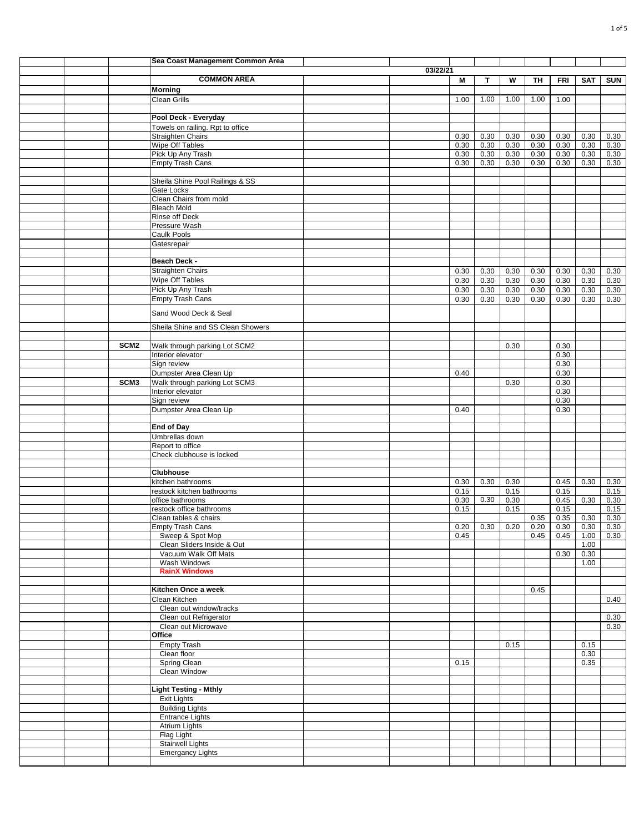|  |                  | Sea Coast Management Common Area                 |          |      |      |      |      |            |                  |              |
|--|------------------|--------------------------------------------------|----------|------|------|------|------|------------|------------------|--------------|
|  |                  |                                                  | 03/22/21 |      |      |      |      |            |                  |              |
|  |                  | <b>COMMON AREA</b>                               |          | М    | T    | W    | TH   | <b>FRI</b> | <b>SAT</b>       | <b>SUN</b>   |
|  |                  | <b>Morning</b>                                   |          |      |      |      |      |            |                  |              |
|  |                  | <b>Clean Grills</b>                              |          | 1.00 | 1.00 | 1.00 | 1.00 | 1.00       |                  |              |
|  |                  |                                                  |          |      |      |      |      |            |                  |              |
|  |                  | Pool Deck - Everyday                             |          |      |      |      |      |            |                  |              |
|  |                  | Towels on railing. Rpt to office                 |          |      |      |      |      |            |                  |              |
|  |                  | <b>Straighten Chairs</b>                         |          | 0.30 | 0.30 | 0.30 | 0.30 | 0.30       | 0.30             | 0.30         |
|  |                  | Wipe Off Tables                                  |          | 0.30 | 0.30 | 0.30 | 0.30 | 0.30       | 0.30             | 0.30         |
|  |                  | Pick Up Any Trash                                |          | 0.30 | 0.30 | 0.30 | 0.30 | 0.30       | 0.30             | 0.30         |
|  |                  | <b>Empty Trash Cans</b>                          |          | 0.30 | 0.30 | 0.30 | 0.30 | 0.30       | 0.30             | 0.30         |
|  |                  |                                                  |          |      |      |      |      |            |                  |              |
|  |                  | Sheila Shine Pool Railings & SS                  |          |      |      |      |      |            |                  |              |
|  |                  | Gate Locks                                       |          |      |      |      |      |            |                  |              |
|  |                  | Clean Chairs from mold                           |          |      |      |      |      |            |                  |              |
|  |                  | <b>Bleach Mold</b>                               |          |      |      |      |      |            |                  |              |
|  |                  | <b>Rinse off Deck</b>                            |          |      |      |      |      |            |                  |              |
|  |                  | Pressure Wash                                    |          |      |      |      |      |            |                  |              |
|  |                  | <b>Caulk Pools</b>                               |          |      |      |      |      |            |                  |              |
|  |                  | Gatesrepair                                      |          |      |      |      |      |            |                  |              |
|  |                  |                                                  |          |      |      |      |      |            |                  |              |
|  |                  | Beach Deck -                                     |          |      |      |      |      |            |                  |              |
|  |                  | <b>Straighten Chairs</b>                         |          | 0.30 | 0.30 | 0.30 | 0.30 | 0.30       | 0.30             | 0.30         |
|  |                  | <b>Wipe Off Tables</b>                           |          | 0.30 | 0.30 | 0.30 | 0.30 | 0.30       | 0.30             | 0.30         |
|  |                  | Pick Up Any Trash                                |          | 0.30 | 0.30 | 0.30 | 0.30 | 0.30       | 0.30             | 0.30         |
|  |                  | <b>Empty Trash Cans</b>                          |          | 0.30 | 0.30 | 0.30 | 0.30 | 0.30       | 0.30             | 0.30         |
|  |                  |                                                  |          |      |      |      |      |            |                  |              |
|  |                  | Sand Wood Deck & Seal                            |          |      |      |      |      |            |                  |              |
|  |                  | Sheila Shine and SS Clean Showers                |          |      |      |      |      |            |                  |              |
|  |                  |                                                  |          |      |      |      |      |            |                  |              |
|  | SCM <sub>2</sub> |                                                  |          |      |      |      |      |            |                  |              |
|  |                  | Walk through parking Lot SCM2                    |          |      |      | 0.30 |      | 0.30       |                  |              |
|  |                  | Interior elevator                                |          |      |      |      |      | 0.30       |                  |              |
|  |                  | Sign review                                      |          |      |      |      |      | 0.30       |                  |              |
|  |                  | Dumpster Area Clean Up                           |          | 0.40 |      |      |      | 0.30       |                  |              |
|  | SCM <sub>3</sub> | Walk through parking Lot SCM3                    |          |      |      | 0.30 |      | 0.30       |                  |              |
|  |                  | Interior elevator                                |          |      |      |      |      | 0.30       |                  |              |
|  |                  | Sign review                                      |          |      |      |      |      | 0.30       |                  |              |
|  |                  | Dumpster Area Clean Up                           |          | 0.40 |      |      |      | 0.30       |                  |              |
|  |                  |                                                  |          |      |      |      |      |            |                  |              |
|  |                  | <b>End of Day</b>                                |          |      |      |      |      |            |                  |              |
|  |                  | Umbrellas down                                   |          |      |      |      |      |            |                  |              |
|  |                  | Report to office                                 |          |      |      |      |      |            |                  |              |
|  |                  | Check clubhouse is locked                        |          |      |      |      |      |            |                  |              |
|  |                  | <b>Clubhouse</b>                                 |          |      |      |      |      |            |                  |              |
|  |                  |                                                  |          |      |      |      |      |            |                  |              |
|  |                  | kitchen bathrooms                                |          | 0.30 | 0.30 | 0.30 |      | 0.45       | 0.30             | 0.30         |
|  |                  | restock kitchen bathrooms                        |          | 0.15 | 0.30 | 0.15 |      | 0.15       |                  | 0.15         |
|  |                  | office bathrooms                                 |          | 0.30 |      | 0.30 |      | 0.45       | 0.30             | 0.30         |
|  |                  | restock office bathrooms                         |          | 0.15 |      | 0.15 | 0.35 | 0.15       |                  | 0.15<br>0.30 |
|  |                  | Clean tables & chairs<br><b>Empty Trash Cans</b> |          |      |      |      |      | 0.35       | 0.30             |              |
|  |                  |                                                  |          |      |      |      |      |            |                  |              |
|  |                  | Sweep & Spot Mop<br>Clean Sliders Inside & Out   |          | 0.45 |      |      |      |            | $0.45$ 0.45 1.00 | 0.30         |
|  |                  | Vacuum Walk Off Mats                             |          |      |      |      |      | 0.30       | 1.00<br>0.30     |              |
|  |                  | Wash Windows                                     |          |      |      |      |      |            | 1.00             |              |
|  |                  | <b>RainX Windows</b>                             |          |      |      |      |      |            |                  |              |
|  |                  |                                                  |          |      |      |      |      |            |                  |              |
|  |                  | Kitchen Once a week                              |          |      |      |      | 0.45 |            |                  |              |
|  |                  |                                                  |          |      |      |      |      |            |                  |              |
|  |                  | Clean Kitchen<br>Clean out window/tracks         |          |      |      |      |      |            |                  | 0.40         |
|  |                  | Clean out Refrigerator                           |          |      |      |      |      |            |                  | 0.30         |
|  |                  | Clean out Microwave                              |          |      |      |      |      |            |                  | 0.30         |
|  |                  | Office                                           |          |      |      |      |      |            |                  |              |
|  |                  |                                                  |          |      |      |      |      |            |                  |              |
|  |                  | <b>Empty Trash</b><br>Clean floor                |          |      |      | 0.15 |      |            | 0.15<br>0.30     |              |
|  |                  | Spring Clean                                     |          | 0.15 |      |      |      |            | 0.35             |              |
|  |                  | Clean Window                                     |          |      |      |      |      |            |                  |              |
|  |                  |                                                  |          |      |      |      |      |            |                  |              |
|  |                  | <b>Light Testing - Mthly</b>                     |          |      |      |      |      |            |                  |              |
|  |                  |                                                  |          |      |      |      |      |            |                  |              |
|  |                  | <b>Exit Lights</b><br><b>Building Lights</b>     |          |      |      |      |      |            |                  |              |
|  |                  | <b>Entrance Lights</b>                           |          |      |      |      |      |            |                  |              |
|  |                  | Atrium Lights                                    |          |      |      |      |      |            |                  |              |
|  |                  | Flag Light                                       |          |      |      |      |      |            |                  |              |
|  |                  | <b>Stairwell Lights</b>                          |          |      |      |      |      |            |                  |              |
|  |                  | <b>Emergancy Lights</b>                          |          |      |      |      |      |            |                  |              |
|  |                  |                                                  |          |      |      |      |      |            |                  |              |
|  |                  |                                                  |          |      |      |      |      |            |                  |              |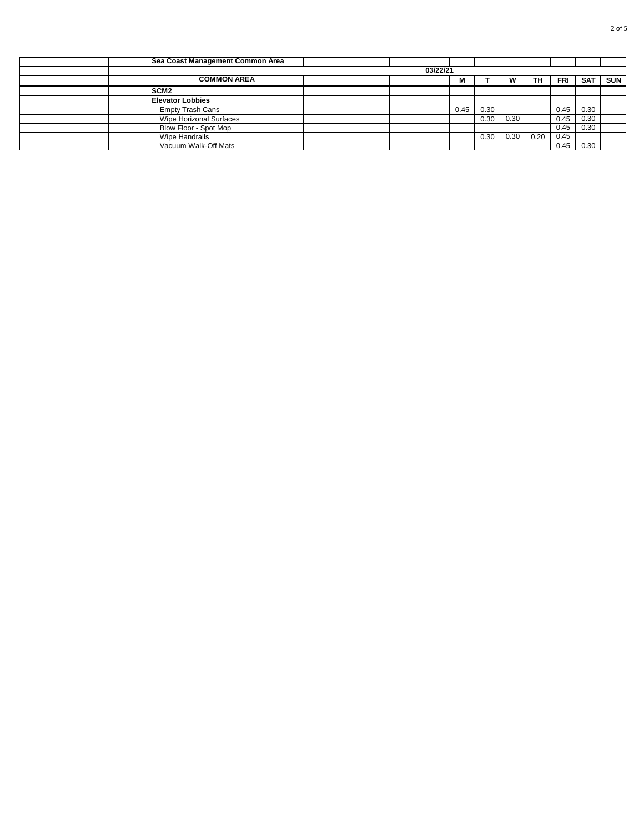|  | Sea Coast Management Common Area |  |  |      |      |      |      |            |            |            |  |  |
|--|----------------------------------|--|--|------|------|------|------|------------|------------|------------|--|--|
|  | 03/22/21                         |  |  |      |      |      |      |            |            |            |  |  |
|  | <b>COMMON AREA</b>               |  |  | М    |      | W    | ΤН   | <b>FRI</b> | <b>SAT</b> | <b>SUN</b> |  |  |
|  | SCM <sub>2</sub>                 |  |  |      |      |      |      |            |            |            |  |  |
|  | <b>Elevator Lobbies</b>          |  |  |      |      |      |      |            |            |            |  |  |
|  | <b>Empty Trash Cans</b>          |  |  | 0.45 | 0.30 |      |      | 0.45       | 0.30       |            |  |  |
|  | Wipe Horizonal Surfaces          |  |  |      | 0.30 | 0.30 |      | 0.45       | 0.30       |            |  |  |
|  | Blow Floor - Spot Mop            |  |  |      |      |      |      | 0.45       | 0.30       |            |  |  |
|  | Wipe Handrails                   |  |  |      | 0.30 | 0.30 | 0.20 | 0.45       |            |            |  |  |
|  | Vacuum Walk-Off Mats             |  |  |      |      |      |      | 0.45       | 0.30       |            |  |  |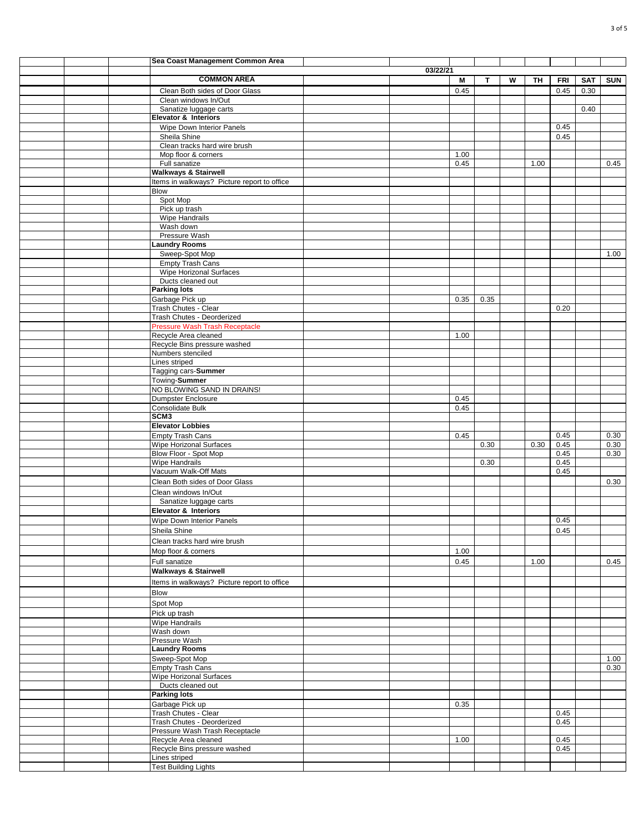|  | Sea Coast Management Common Area                       |          |      |              |   |      |            |      |            |
|--|--------------------------------------------------------|----------|------|--------------|---|------|------------|------|------------|
|  | <b>COMMON AREA</b>                                     | 03/22/21 |      |              |   |      |            |      |            |
|  |                                                        |          | M    | $\mathsf{T}$ | W | TH   | <b>FRI</b> | SAT  | <b>SUN</b> |
|  | Clean Both sides of Door Glass<br>Clean windows In/Out |          | 0.45 |              |   |      | 0.45       | 0.30 |            |
|  | Sanatize luggage carts                                 |          |      |              |   |      |            | 0.40 |            |
|  | Elevator & Interiors                                   |          |      |              |   |      |            |      |            |
|  | Wipe Down Interior Panels                              |          |      |              |   |      | 0.45       |      |            |
|  | Sheila Shine<br>Clean tracks hard wire brush           |          |      |              |   |      | 0.45       |      |            |
|  | Mop floor & corners                                    |          | 1.00 |              |   |      |            |      |            |
|  | Full sanatize                                          |          | 0.45 |              |   | 1.00 |            |      | 0.45       |
|  | <b>Walkways &amp; Stairwell</b>                        |          |      |              |   |      |            |      |            |
|  | Items in walkways? Picture report to office            |          |      |              |   |      |            |      |            |
|  | Blow<br>Spot Mop                                       |          |      |              |   |      |            |      |            |
|  | Pick up trash                                          |          |      |              |   |      |            |      |            |
|  | Wipe Handrails                                         |          |      |              |   |      |            |      |            |
|  | Wash down                                              |          |      |              |   |      |            |      |            |
|  | Pressure Wash<br><b>Laundry Rooms</b>                  |          |      |              |   |      |            |      |            |
|  | Sweep-Spot Mop                                         |          |      |              |   |      |            |      | 1.00       |
|  | <b>Empty Trash Cans</b>                                |          |      |              |   |      |            |      |            |
|  | <b>Wipe Horizonal Surfaces</b>                         |          |      |              |   |      |            |      |            |
|  | Ducts cleaned out<br><b>Parking lots</b>               |          |      |              |   |      |            |      |            |
|  | Garbage Pick up                                        |          | 0.35 | 0.35         |   |      |            |      |            |
|  | Trash Chutes - Clear                                   |          |      |              |   |      | 0.20       |      |            |
|  | Trash Chutes - Deorderized                             |          |      |              |   |      |            |      |            |
|  | <b>Pressure Wash Trash Receptacle</b>                  |          |      |              |   |      |            |      |            |
|  | Recycle Area cleaned<br>Recycle Bins pressure washed   |          | 1.00 |              |   |      |            |      |            |
|  | Numbers stenciled                                      |          |      |              |   |      |            |      |            |
|  | Lines striped                                          |          |      |              |   |      |            |      |            |
|  | Tagging cars-Summer                                    |          |      |              |   |      |            |      |            |
|  | Towing-Summer<br>NO BLOWING SAND IN DRAINS!            |          |      |              |   |      |            |      |            |
|  | Dumpster Enclosure                                     |          | 0.45 |              |   |      |            |      |            |
|  | Consolidate Bulk                                       |          | 0.45 |              |   |      |            |      |            |
|  | SCM <sub>3</sub>                                       |          |      |              |   |      |            |      |            |
|  | <b>Elevator Lobbies</b><br><b>Empty Trash Cans</b>     |          | 0.45 |              |   |      | 0.45       |      | 0.30       |
|  | <b>Wipe Horizonal Surfaces</b>                         |          |      | 0.30         |   | 0.30 | 0.45       |      | 0.30       |
|  | Blow Floor - Spot Mop                                  |          |      |              |   |      | 0.45       |      | 0.30       |
|  | <b>Wipe Handrails</b>                                  |          |      | 0.30         |   |      | 0.45       |      |            |
|  | Vacuum Walk-Off Mats<br>Clean Both sides of Door Glass |          |      |              |   |      | 0.45       |      |            |
|  | Clean windows In/Out                                   |          |      |              |   |      |            |      | 0.30       |
|  | Sanatize luggage carts                                 |          |      |              |   |      |            |      |            |
|  | Elevator & Interiors                                   |          |      |              |   |      |            |      |            |
|  | Wipe Down Interior Panels                              |          |      |              |   |      | 0.45       |      |            |
|  | Sheila Shine                                           |          |      |              |   |      | 0.45       |      |            |
|  | Clean tracks hard wire brush                           |          |      |              |   |      |            |      |            |
|  | Mop floor & corners                                    |          | 1.00 |              |   |      |            |      |            |
|  | Full sanatize<br><b>Walkways &amp; Stairwell</b>       |          | 0.45 |              |   | 1.00 |            |      | 0.45       |
|  | Items in walkways? Picture report to office            |          |      |              |   |      |            |      |            |
|  | <b>Blow</b>                                            |          |      |              |   |      |            |      |            |
|  | Spot Mop                                               |          |      |              |   |      |            |      |            |
|  | Pick up trash                                          |          |      |              |   |      |            |      |            |
|  | Wipe Handrails                                         |          |      |              |   |      |            |      |            |
|  | Wash down                                              |          |      |              |   |      |            |      |            |
|  | Pressure Wash<br><b>Laundry Rooms</b>                  |          |      |              |   |      |            |      |            |
|  | Sweep-Spot Mop                                         |          |      |              |   |      |            |      | 1.00       |
|  | <b>Empty Trash Cans</b>                                |          |      |              |   |      |            |      | 0.30       |
|  | Wipe Horizonal Surfaces                                |          |      |              |   |      |            |      |            |
|  | Ducts cleaned out<br><b>Parking lots</b>               |          |      |              |   |      |            |      |            |
|  | Garbage Pick up                                        |          | 0.35 |              |   |      |            |      |            |
|  | Trash Chutes - Clear                                   |          |      |              |   |      | 0.45       |      |            |
|  | Trash Chutes - Deorderized                             |          |      |              |   |      | 0.45       |      |            |
|  | Pressure Wash Trash Receptacle<br>Recycle Area cleaned |          | 1.00 |              |   |      | 0.45       |      |            |
|  | Recycle Bins pressure washed                           |          |      |              |   |      | 0.45       |      |            |
|  | Lines striped                                          |          |      |              |   |      |            |      |            |
|  | <b>Test Building Lights</b>                            |          |      |              |   |      |            |      |            |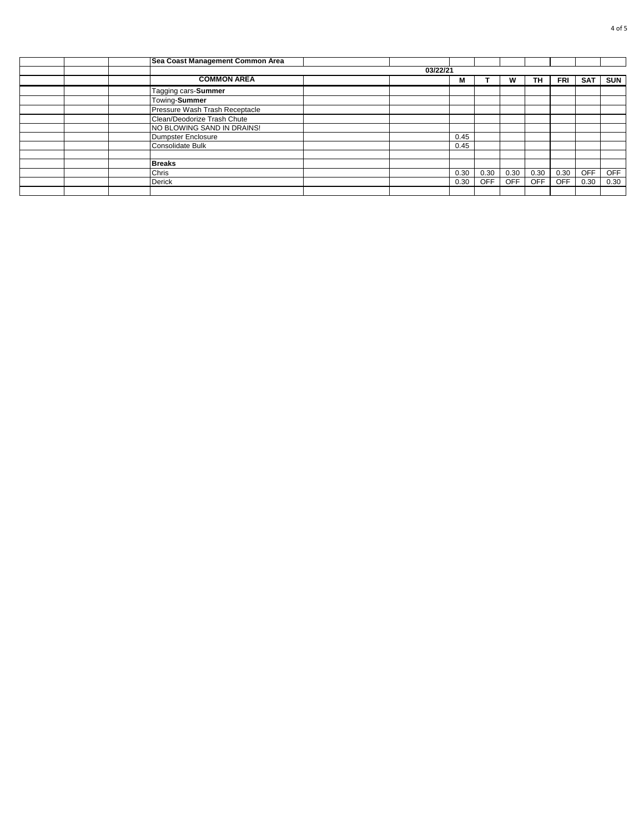|  | Sea Coast Management Common Area |          |      |            |            |            |            |            |            |
|--|----------------------------------|----------|------|------------|------------|------------|------------|------------|------------|
|  |                                  | 03/22/21 |      |            |            |            |            |            |            |
|  | <b>COMMON AREA</b>               |          | M    |            | W          | TH.        | FRI        | <b>SAT</b> | <b>SUN</b> |
|  | Tagging cars-Summer              |          |      |            |            |            |            |            |            |
|  | Towing-Summer                    |          |      |            |            |            |            |            |            |
|  | Pressure Wash Trash Receptacle   |          |      |            |            |            |            |            |            |
|  | Clean/Deodorize Trash Chute      |          |      |            |            |            |            |            |            |
|  | NO BLOWING SAND IN DRAINS!       |          |      |            |            |            |            |            |            |
|  | Dumpster Enclosure               |          | 0.45 |            |            |            |            |            |            |
|  | Consolidate Bulk                 |          | 0.45 |            |            |            |            |            |            |
|  |                                  |          |      |            |            |            |            |            |            |
|  | <b>Breaks</b>                    |          |      |            |            |            |            |            |            |
|  | Chris                            |          | 0.30 | 0.30       | 0.30       | 0.30       | 0.30       | <b>OFF</b> | <b>OFF</b> |
|  | Derick                           |          | 0.30 | <b>OFF</b> | <b>OFF</b> | <b>OFF</b> | <b>OFF</b> | 0.30       | 0.30       |
|  |                                  |          |      |            |            |            |            |            |            |
|  |                                  |          |      |            |            |            |            |            |            |